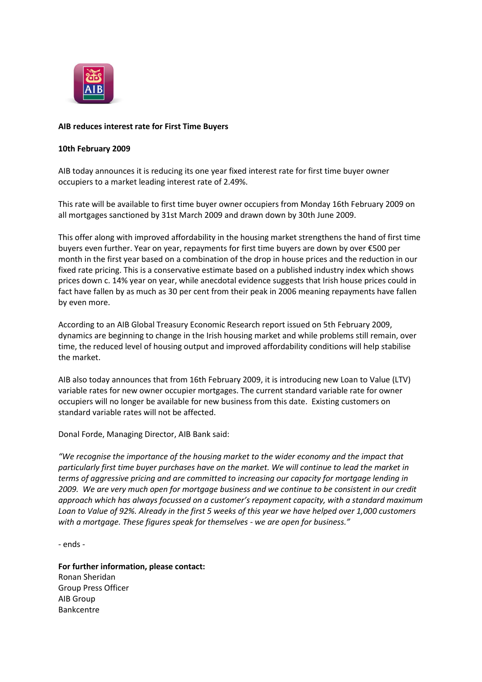

## **AIB reduces interest rate for First Time Buyers**

## **10th February 2009**

AIB today announces it is reducing its one year fixed interest rate for first time buyer owner occupiers to a market leading interest rate of 2.49%.

This rate will be available to first time buyer owner occupiers from Monday 16th February 2009 on all mortgages sanctioned by 31st March 2009 and drawn down by 30th June 2009.

This offer along with improved affordability in the housing market strengthens the hand of first time buyers even further. Year on year, repayments for first time buyers are down by over €500 per month in the first year based on a combination of the drop in house prices and the reduction in our fixed rate pricing. This is a conservative estimate based on a published industry index which shows prices down c. 14% year on year, while anecdotal evidence suggests that Irish house prices could in fact have fallen by as much as 30 per cent from their peak in 2006 meaning repayments have fallen by even more.

According to an AIB Global Treasury Economic Research report issued on 5th February 2009, dynamics are beginning to change in the Irish housing market and while problems still remain, over time, the reduced level of housing output and improved affordability conditions will help stabilise the market.

AIB also today announces that from 16th February 2009, it is introducing new Loan to Value (LTV) variable rates for new owner occupier mortgages. The current standard variable rate for owner occupiers will no longer be available for new business from this date. Existing customers on standard variable rates will not be affected.

Donal Forde, Managing Director, AIB Bank said:

*"We recognise the importance of the housing market to the wider economy and the impact that particularly first time buyer purchases have on the market. We will continue to lead the market in terms of aggressive pricing and are committed to increasing our capacity for mortgage lending in 2009. We are very much open for mortgage business and we continue to be consistent in our credit approach which has always focussed on a customer's repayment capacity, with a standard maximum Loan to Value of 92%. Already in the first 5 weeks of this year we have helped over 1,000 customers with a mortgage. These figures speak for themselves - we are open for business."*

- ends -

**For further information, please contact:** Ronan Sheridan Group Press Officer AIB Group Bankcentre